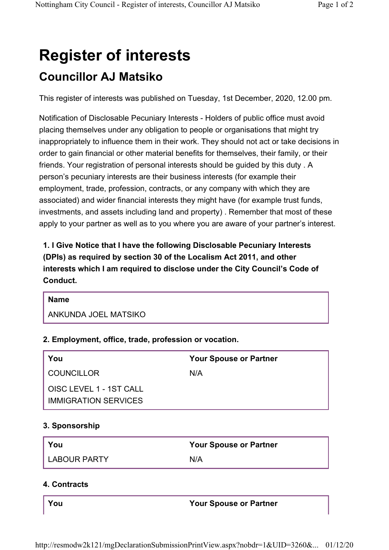# **Register of interests Councillor AJ Matsiko**

This register of interests was published on Tuesday, 1st December, 2020, 12.00 pm.

Notification of Disclosable Pecuniary Interests - Holders of public office must avoid placing themselves under any obligation to people or organisations that might try inappropriately to influence them in their work. They should not act or take decisions in order to gain financial or other material benefits for themselves, their family, or their friends. Your registration of personal interests should be guided by this duty . A person's pecuniary interests are their business interests (for example their employment, trade, profession, contracts, or any company with which they are associated) and wider financial interests they might have (for example trust funds, investments, and assets including land and property) . Remember that most of these apply to your partner as well as to you where you are aware of your partner's interest.

**1. I Give Notice that I have the following Disclosable Pecuniary Interests (DPIs) as required by section 30 of the Localism Act 2011, and other interests which I am required to disclose under the City Council's Code of Conduct.** 

#### **Name**

ANKUNDA JOEL MATSIKO

## **2. Employment, office, trade, profession or vocation.**

| You                         | <b>Your Spouse or Partner</b> |
|-----------------------------|-------------------------------|
| <b>COUNCILLOR</b>           | N/A                           |
| OISC LEVEL 1 - 1ST CALL     |                               |
| <b>IMMIGRATION SERVICES</b> |                               |

## **3. Sponsorship**

| You                 | <b>Your Spouse or Partner</b> |
|---------------------|-------------------------------|
| <b>LABOUR PARTY</b> | N/A                           |

## **4. Contracts**

#### **You Your Spouse or Partner**